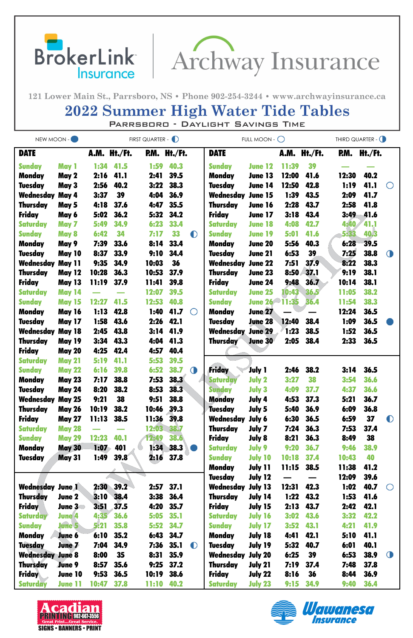



121 Lower Main St., Parrsboro, NS · Phone 902-254-3244 · www.archwayinsurance.ca

## **2022 Summer High Water Tide Tables**

PARRSBORD - DAYLIGHT SAVINGS TIME

| NEW MOON -                       |                                | FIRST QUARTER - D |              |                |                     |            | FULL MOON - $\bigcirc$      | THIRD QUARTER - O |              |              |              |              |            |
|----------------------------------|--------------------------------|-------------------|--------------|----------------|---------------------|------------|-----------------------------|-------------------|--------------|--------------|--------------|--------------|------------|
| <b>DATE</b>                      |                                |                   | A.M. Ht./Ft. |                | <b>P.M. Ht./Ft.</b> |            | <b>DATE</b>                 |                   | A.M.         | Ht./Ft.      | P.M.         | Ht./Ft.      |            |
| <b>Sunday</b>                    | May 1                          | 1:34              | 41.5         | 1:59           | 40.3                |            | <b>Sunday</b>               | <b>June 12</b>    | 11:39        | 39           |              |              |            |
| <b>Monday</b>                    | May 2                          | 2:16              | 41.1         | 2:41           | 39.5                |            | <b>Monday</b>               | June 13           | <b>12:00</b> | 41.6         | 12:30        | 40.2         |            |
| <b>Tuesday</b>                   | May 3                          | 2:56              | 40.2         | 3:22           | 38.3                |            | <b>Tuesday</b>              | June 14           | 12:50        | 42.8         | 1:19         | 41.1         | $\bigcirc$ |
| Wednesday                        | May 4                          | 3:37              | 39           | 4:04           | 36.9                |            | Wednesday                   | <b>June 15</b>    | 1:39         | 43.5         | 2:09         | 41.7         |            |
| <b>Thursday</b>                  | May 5                          | 4:18              | 37.6         | 4:47           | 35.5                |            | <b>Thursday</b>             | <b>June 16</b>    | 2:28         | 43.7         | 2:58         | 41.8         |            |
| <b>Friday</b>                    | May 6                          | 5:02              | 36.2         | 5:32           | 34.2                |            | <b>Friday</b>               | <b>June 17</b>    | 3:18         | 43.4         | 3:49         | 41.6         |            |
| <b>Saturday</b>                  | May 7                          | 5:49              | 34.9         | 6:23           | 33.4                |            | <b>Saturday</b>             | <b>June 18</b>    | 4:08         | 42.7         | 4:40         | 41.1         |            |
| <b>Sunday</b>                    | <b>May 8</b>                   | 6:42              | 34           | 7:17           | 33                  | $\bullet$  | <b>Sunday</b>               | <b>June 19</b>    | 5:01         | 41.6         | 5:33         | 40.3         |            |
| <b>Monday</b>                    | May 9                          | 7:39              | 33.6         | 8:14           | 33.4                |            | <b>Monday</b>               | <b>June 20</b>    | 5:56         | 40.3         | 6:28         | 39.5         |            |
| <b>Tuesday</b>                   | <b>May 10</b>                  | 8:37              | 33.9         | 9:10           | 34.4                |            | <b>Tuesday</b>              | June 21           | 6:53         | 39           | 7:25         | 38.8         | $\bigcirc$ |
| Wednesday                        | <b>May 11</b>                  | 9:35              | 34.9         | 10:03          | 36                  |            | Wednesday                   | <b>June 22</b>    | 7:51         | 37.9         | 8:22         | 38.3         |            |
| <b>Thursday</b>                  | <b>May 12</b>                  | 10:28             | 36.3         | 10:53          | 37.9                |            | <b>Thursday</b>             | <b>June 23</b>    | 8:50         | 37.1         | 9:19         | <b>38.1</b>  |            |
| <b>Friday</b>                    | <b>May 13</b>                  | <b>11:19</b>      | 37.9         | 11:41          | 39.8                |            | <b>Friday</b>               | <b>June 24</b>    | 9:48         | 36.7         | 10:14        | <b>38.1</b>  |            |
| <b>Saturday</b>                  | <b>May 14</b>                  |                   |              | 12:07          | 39.5                |            | <b>Saturday</b>             | <b>June 25</b>    | 10:43        | 36.5         | 11:05        | 38.2         |            |
| <b>Sunday</b>                    | <b>May 15</b>                  | 12:27             | 41.5         | 12:53          | 40.8                |            | <b>Sunday</b>               | June 26 11:35     |              | 36.4         | 11:54        | 38.3         |            |
| <b>Monday</b>                    | <b>May 16</b>                  | 1:13              | 42.8         | 1:40           | 41.7                | $\bigcirc$ | <b>Monday</b>               | <b>June 27</b>    |              |              | 12:24        | 36.5         |            |
| <b>Tuesday</b>                   | <b>May 17</b>                  | 1:58              | 43.6         | 2:26           | 42.1                |            | <b>Tuesday</b>              | <b>June 28</b>    | 12:40        | 38.4         | 1:09         | 36.5         |            |
| Wednesday                        | <b>May 18</b>                  | 2:45              | 43.8         | 3:14           | 41.9                |            | <b>Wednesday June 29</b>    |                   | 1:23         | 38.5         | 1:52         | 36.5         |            |
| <b>Thursday</b>                  | <b>May 19</b>                  | 3:34              | 43.3         | 4:04           | 41.3                |            | <b>Thursday</b>             | <b>June 30</b>    | 2:05         | 38.4         | 2:33         | 36.5         |            |
| <b>Friday</b>                    | <b>May 20</b>                  | 4:25              | 42.4         | 4:57           | 40.4                |            |                             |                   |              |              |              |              |            |
| <b>Saturday</b>                  | <b>May 21</b>                  | 5:19              | 41.1         | 5:53           | 39.5                |            | <b>Friday</b>               |                   |              |              |              |              |            |
| <b>Sunday</b>                    | <b>May 22</b>                  | 6:16              | 39.8         | 6:52           | 38.7                | $\bigcirc$ |                             | <b>July 1</b>     | 2:46         | 38.2         | 3:14         | 36.5         |            |
| <b>Monday</b>                    | <b>May 23</b>                  | 7:17              | 38.8         | 7:53           | 38.3                |            | <b>Saturday</b>             | <b>July 2</b>     | 3:27         | 38           | 3:54         | 36.6         |            |
| <b>Tuesday</b>                   | <b>May 24</b>                  | 8:20              | 38.2         | 8:53           | 38.3                |            | <b>Sunday</b>               | <b>July 3</b>     | 4:09         | 37.7         | 4:37         | 36.6         |            |
| <b>Wednesday May 25</b>          |                                | 9:21              | 38<br>38.2   | 9:51           | 38.8                |            | <b>Monday</b>               | July 4            | 4:53         | 37.3         | 5:21         | 36.7<br>36.8 |            |
| <b>Thursday</b><br><b>Friday</b> | <b>May 26</b><br><b>May 27</b> | 10:19<br>11:13    | 38.5         | 10:46<br>11:36 | 39.3<br><b>39.8</b> |            | <b>Tuesday</b><br>Wednesday | July 5<br>July 6  | 5:40<br>6:30 | 36.9<br>36.5 | 6:09<br>6:59 | 37           | $\bf{O}$   |
| <b>Saturday</b>                  | <b>May 28</b>                  |                   |              | 12:03          | 38.7                |            | <b>Thursday</b>             | July 7            | 7:24         | 36.3         | 7:53         | 37.4         |            |
| <b>Sunday</b>                    | <b>May 29</b>                  | 12:23             | 40.1         | 12:49          | 38.6                |            | <b>Friday</b>               | July 8            | 8:21         | 36.3         | 8:49         | 38           |            |
| <b>Monday</b>                    | <b>May 30</b>                  | 1:07              | 401          | 1:34           | 38.3                |            | <b>Saturday</b>             | July 9            | 9:20         | 36.7         | 9:46         | 38.9         |            |
| <b>Tuesday</b>                   | <b>May 31</b>                  | 1:49              | 39.8         | 2:16           | 37.8                |            | <b>Sunday</b>               | <b>July 10</b>    | 10:18        | 37.4         | 10:43        | 40           |            |
|                                  |                                |                   |              |                |                     |            | <b>Monday</b>               | July 11           | 11:15        | 38.5         | 11:38        | 41.2         |            |
|                                  |                                |                   |              |                |                     |            | <b>Tuesday</b>              | <b>July 12</b>    |              |              | 12:09        | 39.6         |            |
| <b>Wednesday June 1</b>          |                                | 2:30              | 39.2         | 2:57           | 37.1                |            | Wednesday                   | July 13           | 12:31        | 42.3         | 1:02         | 40.7         | $\bigcirc$ |
| <b>Thursday</b>                  | June 2                         | 3:10              | 38.4         | 3:38           | 36.4                |            | Thursday                    | July 14           | 1:22         | 43.2         | 1:53         | 41.6         |            |
| <b>Friday</b>                    | June 3                         | 3:51              | 37.5         | 4:20           | 35.7                |            | <b>Friday</b>               | July 15           | 2:13         | 43.7         | 2:42         | 42.1         |            |
| <b>Saturday</b>                  | <b>June 4</b>                  | 4:35              | 36.6         | 5:05           | 35.1                |            | <b>Saturday</b>             | <b>July 16</b>    | 3:02         | 43.6         | 3:32         | 42.2         |            |
| <b>Sunday</b>                    | <b>June 5</b>                  | 5:21              | 35.8         | 5:52           | 34.7                |            | <b>Sunday</b>               | <b>July 17</b>    | 3:52         | 43.1         | 4:21         | 41.9         |            |
| Monday                           | June 6                         | 6:10              | 35.2         | 6:43           | 34.7                |            | <b>Monday</b>               | July 18           | 4:41         | 42.1         | 5:10         | 41.1         |            |
| <b>Tuesday</b>                   | June 7                         | 7:04              | 34.9         | 7:36           | 35.1                | $\bullet$  | <b>Tuesday</b>              | July 19           | 5:32         | 40.7         | 6:01         | 40.1         |            |
| <b>Wednesday June 8</b>          |                                | 8:00              | 35           | 8:31           | 35.9                |            | Wednesday                   | <b>July 20</b>    | 6:25         | 39           | 6:53         | 38.9         | $\bigcirc$ |
| <b>Thursday</b>                  | <b>June 9</b>                  | 8:57              | 35.6         | 9:25           | 37.2                |            | <b>Thursday</b>             | July 21           | 7:19         | 37.4         | 7:48         | 37.8         |            |
| <b>Friday</b>                    | June 10                        | 9:53              | 36.5         | 10:19          | 38.6                |            | <b>Friday</b>               | <b>July 22</b>    | 8:16         | 36           | 8:44         | 36.9         |            |
| <b>Saturday</b>                  | <b>June 11</b>                 | 10:47             | 37.8         | 11:10          | 40.2                |            | <b>Saturday</b>             | <b>July 23</b>    | 9:15         | 34.9         | 9:40         | 36.4         |            |